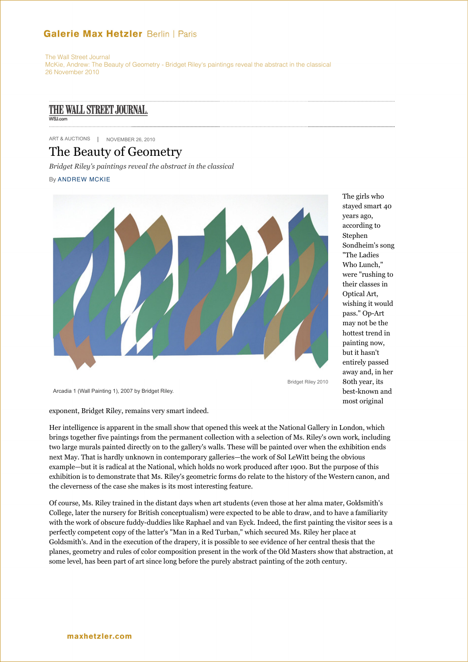## **Galerie Max Hetzler Berlin | Paris**

The Wall Street Journal McKie, Andrew: The Beauty of Geometry - Bridget Riley's paintings reveal the abstract in the classical 26 November 2010

## THE WALL STREET JOURNAL.

ART & AUCTIONS | NOVEMBER 26, 2010

## The Beauty of Geometry

*Bridget Riley's paintings reveal the abstract in the classical* By ANDREW MCKIE



The girls who stayed smart 40 years ago, according to Stephen Sondheim's song "The Ladies Who Lunch," were "rushing to their classes in Optical Art, wishing it would pass." Op-Art may not be the hottest trend in painting now, but it hasn't entirely passed away and, in her 80th year, its best-known and most original

Arcadia 1 (Wall Painting 1), 2007 by Bridget Riley.

exponent, Bridget Riley, remains very smart indeed.

Her intelligence is apparent in the small show that opened this week at the National Gallery in London, which brings together five paintings from the permanent collection with a selection of Ms. Riley's own work, including two large murals painted directly on to the gallery's walls. These will be painted over when the exhibition ends next May. That is hardly unknown in contemporary galleries—the work of Sol LeWitt being the obvious example—but it is radical at the National, which holds no work produced after 1900. But the purpose of this exhibition is to demonstrate that Ms. Riley's geometric forms do relate to the history of the Western canon, and the cleverness of the case she makes is its most interesting feature.

Of course, Ms. Riley trained in the distant days when art students (even those at her alma mater, Goldsmith's College, later the nursery for British conceptualism) were expected to be able to draw, and to have a familiarity with the work of obscure fuddy-duddies like Raphael and van Eyck. Indeed, the first painting the visitor sees is a perfectly competent copy of the latter's "Man in a Red Turban," which secured Ms. Riley her place at Goldsmith's. And in the execution of the drapery, it is possible to see evidence of her central thesis that the planes, geometry and rules of color composition present in the work of the Old Masters show that abstraction, at some level, has been part of art since long before the purely abstract painting of the 20th century.